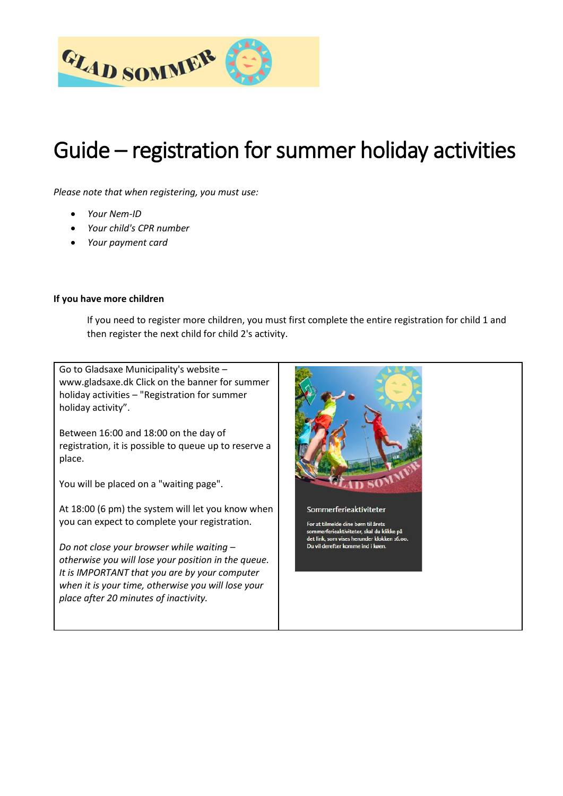

## Guide – registration for summer holiday activities

*Please note that when registering, you must use:*

- *Your Nem-ID*
- *Your child's CPR number*
- *Your payment card*

## **If you have more children**

If you need to register more children, you must first complete the entire registration for child 1 and then register the next child for child 2's activity.

Go to Gladsaxe Municipality's website – www.gladsaxe.dk Click on the banner for summer holiday activities – "Registration for summer holiday activity".

Between 16:00 and 18:00 on the day of registration, it is possible to queue up to reserve a place.

You will be placed on a "waiting page".

At 18:00 (6 pm) the system will let you know when you can expect to complete your registration.

*Do not close your browser while waiting – otherwise you will lose your position in the queue. It is IMPORTANT that you are by your computer when it is your time, otherwise you will lose your place after 20 minutes of inactivity.* 

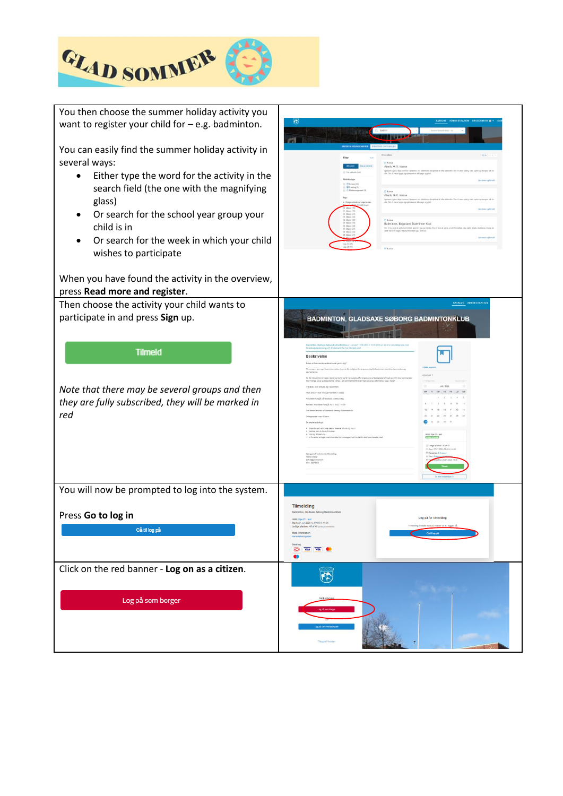

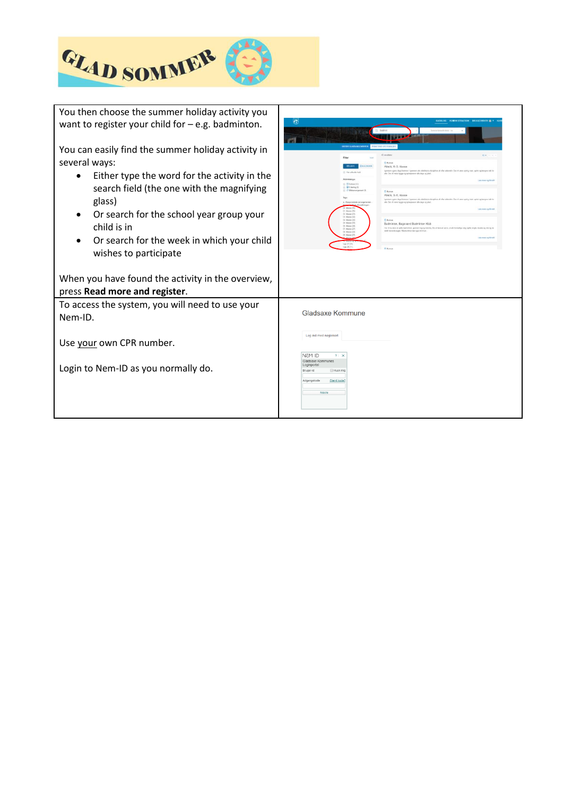

| You then choose the summer holiday activity you                     | <b>KATALOG ADMINISTRATION BRUGERKURY EX-</b>                                                                                                                                                                                                                                                                          |
|---------------------------------------------------------------------|-----------------------------------------------------------------------------------------------------------------------------------------------------------------------------------------------------------------------------------------------------------------------------------------------------------------------|
| want to register your child for $-e.g.$ badminton.                  | G                                                                                                                                                                                                                                                                                                                     |
| You can easily find the summer holiday activity in<br>several ways: | KURSÉR KARRANGEMBAD<br>$10.40 - 1.14$<br>Fi Kursus                                                                                                                                                                                                                                                                    |
| Either type the word for the activity in the                        | NATHER<br>Atlatik, O.-3. klasse<br>gennere upons dage koneres I ligenwen alle abstiktione diocipliner alt efter attivistie. Der vil være spring kast, spr<br>11 Play officed by both<br>alls. Der vil vere hygge og spisepasser alle dege og plad<br>Law Port on Bradt<br>$\equiv$ (9) Karnes (4)                     |
| search field (the one with the magnifying<br>glass)                 | <b>IDE</b> laring (0)<br>O Etheterorgament (2)<br>73 Roman<br>Atletik, 3.-5. Masse<br>lass<br>and upper these foreman I turnment also alteritions character all after ablancing. Our of sweep system<br>x - Bergammedo arran<br>alle. Der vil were hygge og spisepausar alle dage og plad                             |
| Or search for the school year group your<br>child is in             | Late more no times<br>02. Masse (2)<br>03 Manua (12)<br>GE Manag (32)<br><b>P1 Montgome</b><br>05. Mases (53)<br>Badminton, Bagsværd Badminton Klub<br>05. Masse (34<br>Har vil du fase at spills badestdan, gonnere log og træning. Du vil lære at serve, at siå forskallige slag, spille single, double og mix og d |
| Or search for the week in which your child                          | 07. Mates (27)<br>ductil haranata ragios Másica trivar dar ugaà kid til an<br>Off. Manna (22)<br>OR Messa (21)<br>Las rare og Brak<br>Ugs 27.(28)<br>Ugs 28 (11)<br>Fi Kursu                                                                                                                                          |
| wishes to participate                                               |                                                                                                                                                                                                                                                                                                                       |
| When you have found the activity in the overview,                   |                                                                                                                                                                                                                                                                                                                       |
| press Read more and register.                                       |                                                                                                                                                                                                                                                                                                                       |
| To access the system, you will need to use your<br>Nem-ID.          | Gladsaxe Kommune                                                                                                                                                                                                                                                                                                      |
| Use your own CPR number.                                            | Log ind med nøglekort                                                                                                                                                                                                                                                                                                 |
| Login to Nem-ID as you normally do.                                 | <b>NEM ID</b><br>$2$ $\times$<br>Gladsaxe Kommunes<br>Loginportal<br>Bruger-id<br><b>El Husk mid</b>                                                                                                                                                                                                                  |
|                                                                     | Adgangskode<br>Glemt kode?<br>Næste                                                                                                                                                                                                                                                                                   |
|                                                                     |                                                                                                                                                                                                                                                                                                                       |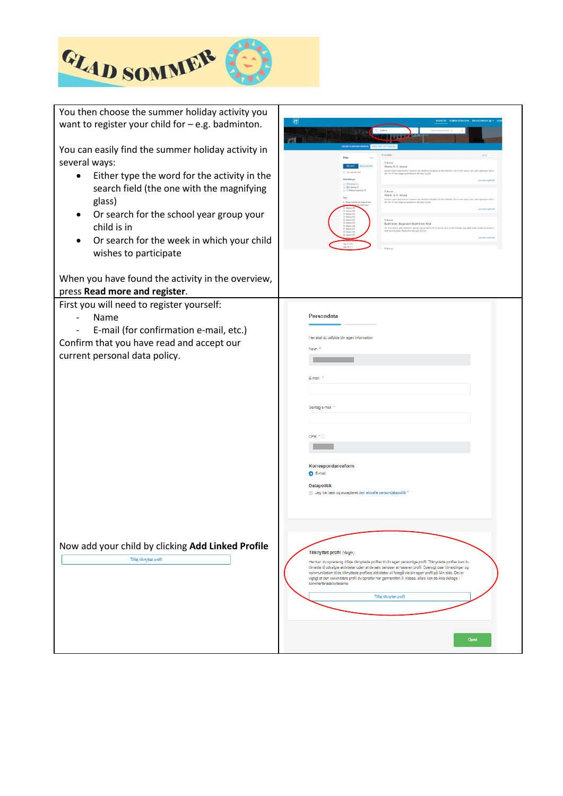

| You then choose the summer holiday activity you<br>want to register your child for $-$ e.g. badminton.<br>You can easily find the summer holiday activity in<br>several ways:<br>Either type the word for the activity in the<br>search field (the one with the magnifying<br>glass)<br>Or search for the school year group your<br>child is in<br>Or search for the week in which your child<br>wishes to participate | $\left(\frac{1}{2}\right)$<br>Atlatik, 0.-3. klasse<br>$\Box$ Kursus (43)<br><b>GD E-kening (0)</b><br><b>F3 Huesus</b><br>Atletik, 3.-5. klasse<br><b>Fi Karas</b><br>Badminton, Bagsværd Badminton Klub<br>Har vil du laser at spile badroidan, gennere log og træning. De vil<br>Fl Kursu                                                                                                                                                                                                                                                    |
|------------------------------------------------------------------------------------------------------------------------------------------------------------------------------------------------------------------------------------------------------------------------------------------------------------------------------------------------------------------------------------------------------------------------|-------------------------------------------------------------------------------------------------------------------------------------------------------------------------------------------------------------------------------------------------------------------------------------------------------------------------------------------------------------------------------------------------------------------------------------------------------------------------------------------------------------------------------------------------|
| When you have found the activity in the overview,<br>press Read more and register.                                                                                                                                                                                                                                                                                                                                     |                                                                                                                                                                                                                                                                                                                                                                                                                                                                                                                                                 |
| First you will need to register yourself:<br>Name<br>E-mail (for confirmation e-mail, etc.)<br>Confirm that you have read and accept our<br>current personal data policy.                                                                                                                                                                                                                                              | Persondata<br>Her skal du udfylde din egen information<br>Navn '<br>E-mail:<br>Gentag e-mail<br>CPR * ①<br>Korrespondanceform<br>$O$ E-mail<br><b>Datapolitik</b><br>Jeg har læst og accepteret den aktuelle persondatapolitik                                                                                                                                                                                                                                                                                                                  |
| Now add your child by clicking Add Linked Profile<br>Tilføj tilknyttet profil                                                                                                                                                                                                                                                                                                                                          | Tilknyttet profil (Valgfri)<br>Her kan du oprette og tilføje tilknyttede profiler til din egen personlige profil. Tilknyttede profiler kan du<br>tilmelde til udvalgte aktiviteter uden at de selv behøver at have en profil. Oversigt over tilmeldinger og<br>kommunikation til de tilknyttede profilers aktiviteter vil foregå via din egen profil på Min side. Det er<br>vigtigt at den sekundære profil du opretter har gennemført 0. klasse, ellers kan de ikke deltage i<br>sommerferieaktiviteterne.<br>Tilføj tilknyttet profil<br>Opre |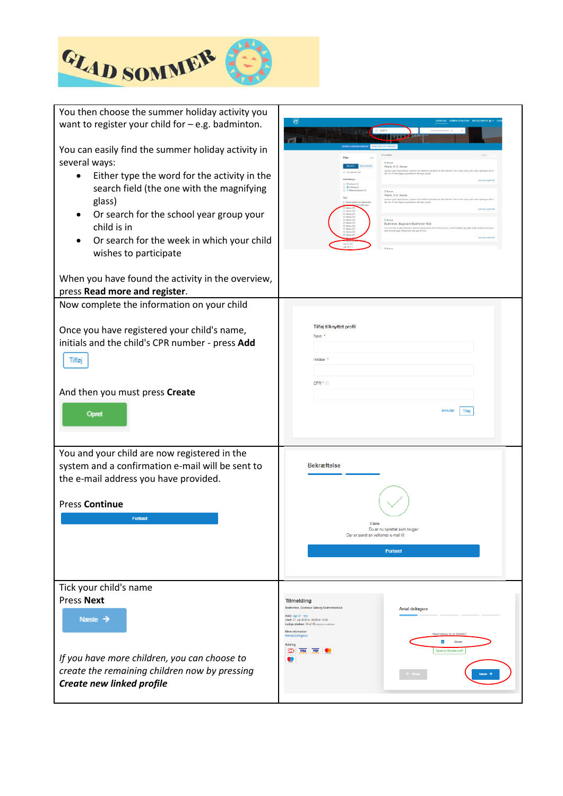

| You then choose the summer holiday activity you<br>want to register your child for $-$ e.g. badminton.<br>You can easily find the summer holiday activity in<br>several ways:<br>Either type the word for the activity in the<br>search field (the one with the magnifying<br>glass)<br>Or search for the school year group your<br>child is in<br>Or search for the week in which your child<br>wishes to participate<br>When you have found the activity in the overview,<br>press Read more and register. | G<br>Atlatik, O.-3. klasse<br>Atletik, 3.-5. klasse<br>Badminton, Bagsværd Badminton Klu<br>Har vil du bera at sails                                                                                                                                                                                                                                                                                        |
|--------------------------------------------------------------------------------------------------------------------------------------------------------------------------------------------------------------------------------------------------------------------------------------------------------------------------------------------------------------------------------------------------------------------------------------------------------------------------------------------------------------|-------------------------------------------------------------------------------------------------------------------------------------------------------------------------------------------------------------------------------------------------------------------------------------------------------------------------------------------------------------------------------------------------------------|
| Now complete the information on your child                                                                                                                                                                                                                                                                                                                                                                                                                                                                   | Tilføj tilknyttet profil                                                                                                                                                                                                                                                                                                                                                                                    |
| Once you have registered your child's name,                                                                                                                                                                                                                                                                                                                                                                                                                                                                  | Navn *                                                                                                                                                                                                                                                                                                                                                                                                      |
| initials and the child's CPR number - press Add                                                                                                                                                                                                                                                                                                                                                                                                                                                              | Initialer <sup>*</sup>                                                                                                                                                                                                                                                                                                                                                                                      |
| Tilføj                                                                                                                                                                                                                                                                                                                                                                                                                                                                                                       | CPR <sup>*</sup> (i)                                                                                                                                                                                                                                                                                                                                                                                        |
| And then you must press Create                                                                                                                                                                                                                                                                                                                                                                                                                                                                               | Tilføj                                                                                                                                                                                                                                                                                                                                                                                                      |
| Opret                                                                                                                                                                                                                                                                                                                                                                                                                                                                                                        | Annuller                                                                                                                                                                                                                                                                                                                                                                                                    |
| You and your child are now registered in the                                                                                                                                                                                                                                                                                                                                                                                                                                                                 | <b>Bekræftelse</b>                                                                                                                                                                                                                                                                                                                                                                                          |
| system and a confirmation e-mail will be sent to                                                                                                                                                                                                                                                                                                                                                                                                                                                             | Kære                                                                                                                                                                                                                                                                                                                                                                                                        |
| the e-mail address you have provided.                                                                                                                                                                                                                                                                                                                                                                                                                                                                        | Du er nu oprettet som bruger.                                                                                                                                                                                                                                                                                                                                                                               |
| <b>Press Continue</b>                                                                                                                                                                                                                                                                                                                                                                                                                                                                                        | Der er sendt en velkomst e-mail til:                                                                                                                                                                                                                                                                                                                                                                        |
| Fortsæt                                                                                                                                                                                                                                                                                                                                                                                                                                                                                                      | Fortsæt                                                                                                                                                                                                                                                                                                                                                                                                     |
| Tick your child's name<br><b>Press Next</b><br>Næste $\rightarrow$<br>If you have more children, you can choose to<br>create the remaining children now by pressing<br>Create new linked profile                                                                                                                                                                                                                                                                                                             | <b>Tilmelding</b><br>Badminton, Gladsaxe Søborg Badmintonklub<br><b>Antal deltagere</b><br>Hold: Uge 31 - test<br>Start: 27. juli 2020 kl. 09:00 til 14:00<br>Ledige pladser: 40 af 40 (plads på venteliste)<br>Mere information<br>Hvem ønsker du at tilmelde?<br>Handelsbetingelser<br>$\overline{\phantom{a}}$<br>Jensen<br><b>Betaling</b><br>VISA VISA<br>≖<br>Opret ny tilknyttet profil<br>$\bullet$ |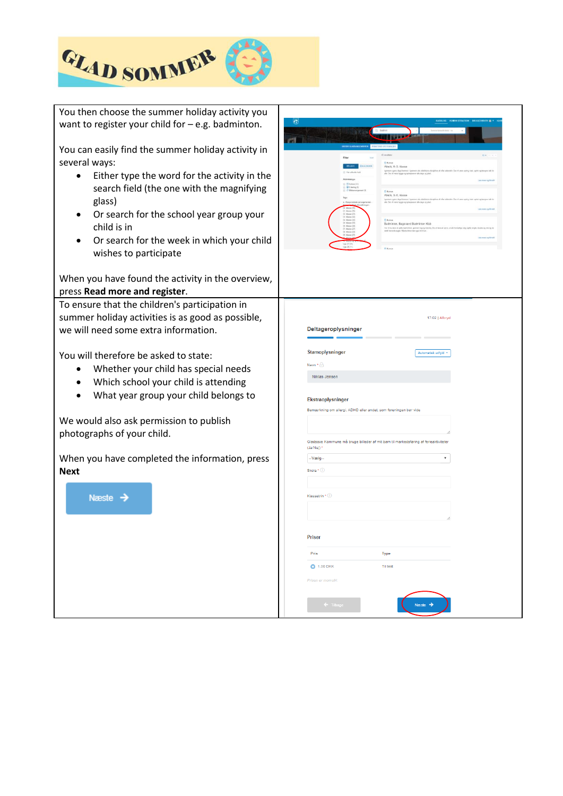

| You then choose the summer holiday activity you<br>want to register your child for $-$ e.g. badminton.<br>You can easily find the summer holiday activity in<br>several ways:<br>Either type the word for the activity in the<br>search field (the one with the magnifying<br>glass) | G<br>prij<br>Atlatik, 0.-3. klasse<br>Der vil varie hyppe og spisepasser alle dage og plat<br><b>IDE-laring (0)</b><br>Atletik, 3.-5. klasse<br>the Cer of yard |
|--------------------------------------------------------------------------------------------------------------------------------------------------------------------------------------------------------------------------------------------------------------------------------------|-----------------------------------------------------------------------------------------------------------------------------------------------------------------|
| Or search for the school year group your<br>$\bullet$<br>child is in<br>Or search for the week in which your child<br>wishes to participate                                                                                                                                          | Badminton, Bagsvarrd Badminto<br>Har vil du bees at sails                                                                                                       |
| When you have found the activity in the overview,<br>press Read more and register.                                                                                                                                                                                                   |                                                                                                                                                                 |
| To ensure that the children's participation in<br>summer holiday activities is as good as possible,<br>we will need some extra information.                                                                                                                                          | 17:02   Afbryd<br>Deltageroplysninger                                                                                                                           |
| You will therefore be asked to state:<br>Whether your child has special needs<br>Which school your child is attending<br>What year group your child belongs to                                                                                                                       | Stamoplysninger<br>utomatisk udfyld<br>Navn * A<br>Niklas Jensen<br>Ekstraoplysninger<br>Bemærkning om allergi, ADHD eller andet, som foreningen bør vide       |
| We would also ask permission to publish<br>photographs of your child.                                                                                                                                                                                                                | Gladsaxe Kommune må bruge billeder af mit barn til markedsføring af ferieaktiviteter                                                                            |
| When you have completed the information, press<br><b>Next</b><br>Næste $\rightarrow$                                                                                                                                                                                                 | (Ja/Nej) *<br>$-Wælg-$<br>$\pmb{\mathrm{v}}$<br>Skole * ①<br>Klassetrin * 1                                                                                     |
|                                                                                                                                                                                                                                                                                      | Priser<br>Pris<br>Type<br><b>Til test</b><br><b>0</b> 1,00 DKK<br>Prisen er momsfri.<br>$\leftarrow$ Tilba                                                      |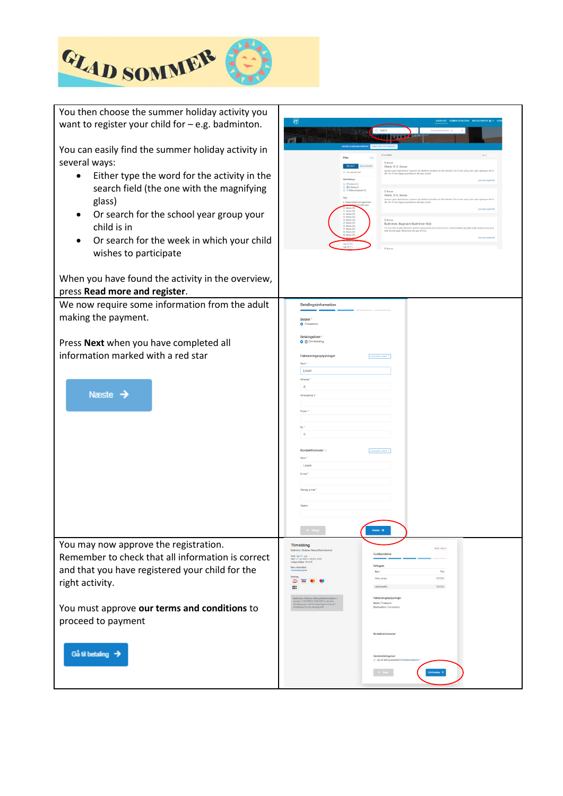

| You then choose the summer holiday activity you<br>want to register your child for $-$ e.g. badminton.<br>You can easily find the summer holiday activity in<br>several ways:<br>Either type the word for the activity in the<br>search field (the one with the magnifying<br>glass)<br>Or search for the school year group your<br>child is in<br>Or search for the week in which your child<br>wishes to participate<br>When you have found the activity in the overview,<br>press Read more and register. | $\left(\frac{1}{2}\right)$<br>Atlatik, 0.-3. klasse<br>$\Box$ El Kurtuni (43)<br><b>GD E-kening (0)</b><br>F) Horma<br>Atletik, 3.-5. klasse<br><b>Fi Korson</b><br>Badminton, Bagsværd Badminton Klub<br>Har vil du lasm at spille badesintan, gennem log og træning. De vil i<br>detti heremde regise Afdales bilver der også Kif SI an<br>Pi Karaja                                                                                                                                                                                                                                                                                                                      |
|--------------------------------------------------------------------------------------------------------------------------------------------------------------------------------------------------------------------------------------------------------------------------------------------------------------------------------------------------------------------------------------------------------------------------------------------------------------------------------------------------------------|-----------------------------------------------------------------------------------------------------------------------------------------------------------------------------------------------------------------------------------------------------------------------------------------------------------------------------------------------------------------------------------------------------------------------------------------------------------------------------------------------------------------------------------------------------------------------------------------------------------------------------------------------------------------------------|
| We now require some information from the adult<br>making the payment.<br>Press Next when you have completed all<br>information marked with a red star<br>Næste $\rightarrow$                                                                                                                                                                                                                                                                                                                                 | Betalingsinformation<br><b>Betaler</b><br><b>O</b> Privatperson<br>Betalingsform<br>□ □ Onlinebetaling<br>Faktureringsoplysninge<br>Automatisk udlyld *<br>Lisbeth<br>Adresse<br>$\alpha$<br>Adresselinie 2<br>Postni<br>Kontaktformular<br>Lisbet<br>Gentag e-mail<br>Neste $\rightarrow$                                                                                                                                                                                                                                                                                                                                                                                  |
| You may now approve the registration.<br>Remember to check that all information is correct<br>and that you have registered your child for the<br>right activity.<br>You must approve our terms and conditions to<br>proceed to payment<br>Gå til betaling $\rightarrow$                                                                                                                                                                                                                                      | Tilmelding<br>10421 After<br>Badminton, Gladsawe Seborg Badmintonkl<br>Godkendelse<br>Hold: Uga 31 - 1887<br>Diset: 27. juli 2020 ki. 00:00:11 14:00<br>Ledige pladser: 40 af 40<br>Deltage<br>Mere information<br>Pris<br>Betaling<br><b>Niklas Jerse</b><br>1.00 DKK<br>23 Was 0 0<br><br>1.00 DKK<br>I alt (er<br>Faktureringsoplysninger<br>verban, Glaubusse Sationy (Satirombonkhab v<br>dan 12-05-2020 til 19-05-2020 an-dal af an<br>wilignuppe med tilmeldingsbegrænsning på 1<br>dingbo) for hvar tilknytat profil<br>Betaler: Privatperse<br>Betalingsform: Onlinebetaing<br>Kontaktonivaninge<br>Handelsbetingelser<br>Jug har last og acce<br>olatoming $\phi$ |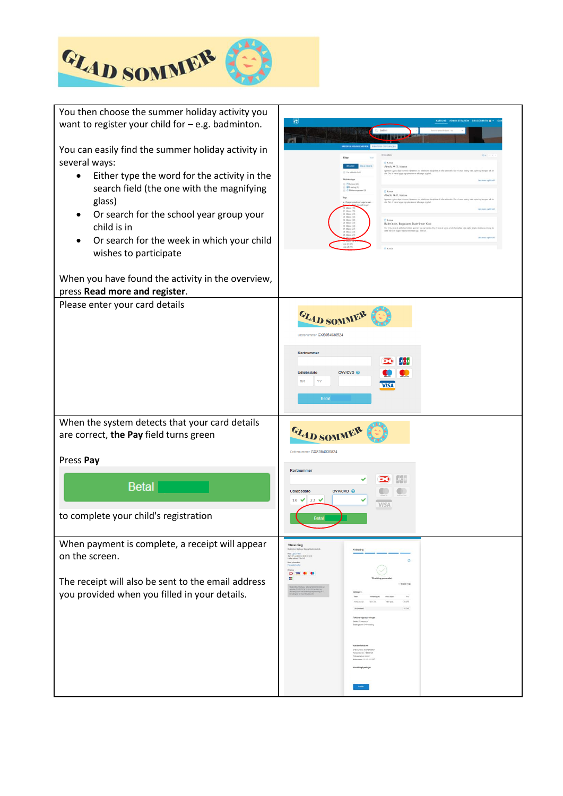